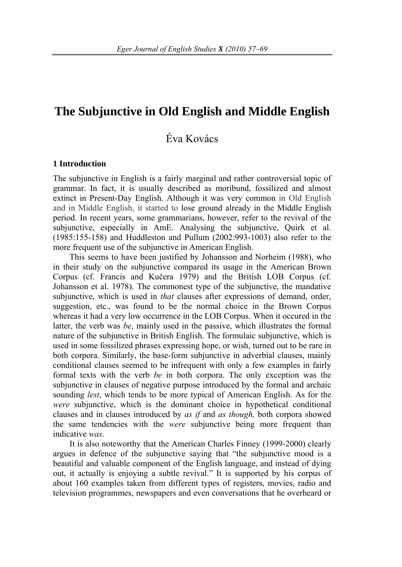## **The Subjunctive in Old English and Middle English**

# Éva Kovács

#### **1 Introduction**

The subjunctive in English is a fairly marginal and rather controversial topic of grammar. In fact, it is usually described as moribund, fossilized and almost extinct in Present-Day English. Although it was very common in Old English and in Middle English, it started to lose ground already in the Middle English period. In recent years, some grammarians, however, refer to the revival of the subjunctive, especially in AmE. Analysing the subjunctive, Quirk et al. (1985:155-158) and Huddleston and Pullum (2002:993-1003) also refer to the more frequent use of the subjunctive in American English.

This seems to have been justified by Johansson and Norheim (1988), who in their study on the subjunctive compared its usage in the American Brown Corpus (cf. Francis and Kučera 1979) and the British LOB Corpus (cf. Johansson et al. 1978). The commonest type of the subjunctive, the mandative subjunctive, which is used in *that* clauses after expressions of demand, order, suggestion, etc., was found to be the normal choice in the Brown Corpus whereas it had a very low occurrence in the LOB Corpus. When it occured in the latter, the verb was *be*, mainly used in the passive, which illustrates the formal nature of the subjunctive in British English. The formulaic subjunctive, which is used in some fossilized phrases expressing hope, or wish, turned out to be rare in both corpora. Similarly, the base-form subjunctive in adverbial clauses, mainly conditional clauses seemed to be infrequent with only a few examples in fairly formal texts with the verb *be* in both corpora. The only exception was the subjunctive in clauses of negative purpose introduced by the formal and archaic sounding *lest*, which tends to be more typical of American English. As for the *were* subjunctive, which is the dominant choice in hypothetical conditional clauses and in clauses introduced by *as if* and *as though,* both corpora showed the same tendencies with the *were* subjunctive being more frequent than indicative *was*.

It is also noteworthy that the American Charles Finney (1999-2000) clearly argues in defence of the subjunctive saying that "the subjunctive mood is a beautiful and valuable component of the English language, and instead of dying out, it actually is enjoying a subtle revival." It is supported by his corpus of about 160 examples taken from different types of registers, movies, radio and television programmes, newspapers and even conversations that he overheard or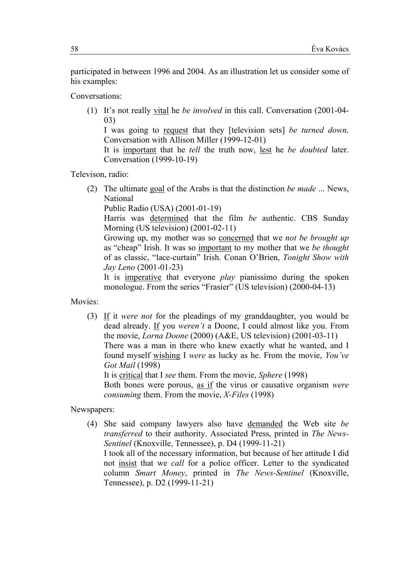participated in between 1996 and 2004. As an illustration let us consider some of his examples:

Conversations:

(1) It's not really vital he *be involved* in this call. Conversation (2001-04- 03)

I was going to request that they [television sets] *be turned down*. Conversation with Allison Miller (1999-12-01)

It is important that he *tell* the truth now, lest he *be doubted* later. Conversation (1999-10-19)

Televison, radio:

(2) The ultimate goal of the Arabs is that the distinction *be made* ... News, National

Public Radio (USA) (2001-01-19)

Harris was determined that the film *be* authentic. CBS Sunday Morning (US television) (2001-02-11)

Growing up, my mother was so concerned that we *not be brought up* as "cheap" Irish. It was so important to my mother that we *be thought* of as classic, "lace-curtain" Irish. Conan O'Brien, *Tonight Show with Jay Leno* (2001-01-23)

It is imperative that everyone *play* pianissimo during the spoken monologue. From the series "Frasier" (US television) (2000-04-13)

Movies:

(3) If it *were not* for the pleadings of my granddaughter, you would be dead already. If you *weren't* a Doone, I could almost like you. From the movie, *Lorna Doone* (2000) (A&E, US television) (2001-03-11) There was a man in there who knew exactly what he wanted, and I found myself wishing I *were* as lucky as he. From the movie, *You've Got Mail* (1998)

It is critical that I *see* them. From the movie, *Sphere* (1998)

Both bones were porous, as if the virus or causative organism *were consuming* them. From the movie, *X-Files* (1998)

### Newspapers:

(4) She said company lawyers also have demanded the Web site *be transferred* to their authority. Associated Press, printed in *The News-Sentinel* (Knoxville, Tennessee), p. D4 (1999-11-21) I took all of the necessary information, but because of her attitude I did not insist that we *call* for a police officer. Letter to the syndicated

column *Smart Money*, printed in *The News-Sentinel* (Knoxville, Tennessee), p. D2 (1999-11-21)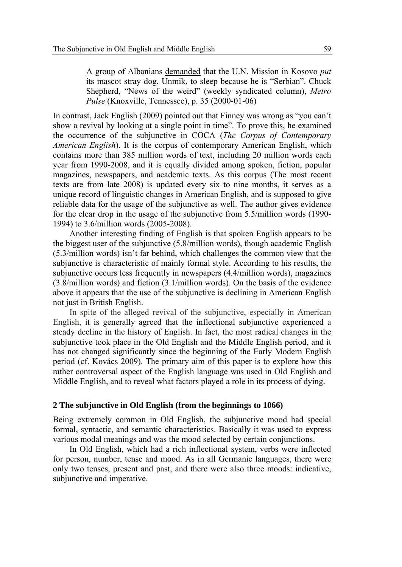A group of Albanians demanded that the U.N. Mission in Kosovo *put* its mascot stray dog, Unmik, to sleep because he is "Serbian". Chuck Shepherd, "News of the weird" (weekly syndicated column), *Metro Pulse* (Knoxville, Tennessee), p. 35 (2000-01-06)

In contrast, Jack English (2009) pointed out that Finney was wrong as "you can't show a revival by looking at a single point in time". To prove this, he examined the occurrence of the subjunctive in COCA (*The Corpus of Contemporary American English*). It is the corpus of contemporary American English, which contains more than 385 million words of text, including 20 million words each year from 1990-2008, and it is equally divided among spoken, fiction, popular magazines, newspapers, and academic texts. As this corpus (The most recent texts are from late 2008) is updated every six to nine months, it serves as a unique record of linguistic changes in American English, and is supposed to give reliable data for the usage of the subjunctive as well. The author gives evidence for the clear drop in the usage of the subjunctive from 5.5/million words (1990- 1994) to 3.6/million words (2005-2008).

Another interesting finding of English is that spoken English appears to be the biggest user of the subjunctive (5.8/million words), though academic English (5.3/million words) isn't far behind, which challenges the common view that the subjunctive is characteristic of mainly formal style. According to his results, the subjunctive occurs less frequently in newspapers (4.4/million words), magazines (3.8/million words) and fiction (3.1/million words). On the basis of the evidence above it appears that the use of the subjunctive is declining in American English not just in British English.

In spite of the alleged revival of the subjunctive, especially in American English, it is generally agreed that the inflectional subjunctive experienced a steady decline in the history of English. In fact, the most radical changes in the subjunctive took place in the Old English and the Middle English period, and it has not changed significantly since the beginning of the Early Modern English period (cf. Kovács 2009). The primary aim of this paper is to explore how this rather controversal aspect of the English language was used in Old English and Middle English, and to reveal what factors played a role in its process of dying.

#### **2 The subjunctive in Old English (from the beginnings to 1066)**

Being extremely common in Old English, the subjunctive mood had special formal, syntactic, and semantic characteristics. Basically it was used to express various modal meanings and was the mood selected by certain conjunctions.

In Old English, which had a rich inflectional system, verbs were inflected for person, number, tense and mood. As in all Germanic languages, there were only two tenses, present and past, and there were also three moods: indicative, subjunctive and imperative.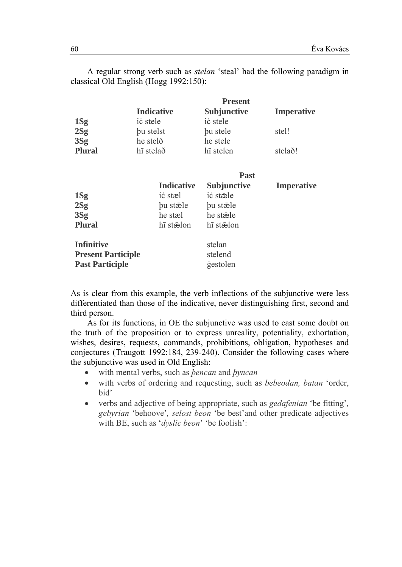|                           | <b>Present</b>    |             |                   |  |  |  |  |
|---------------------------|-------------------|-------------|-------------------|--|--|--|--|
|                           | <b>Indicative</b> | Subjunctive | <b>Imperative</b> |  |  |  |  |
| 1Sg                       | ic stele          | ic stele    |                   |  |  |  |  |
| 2Sg                       | bu stelst         | bu stele    | stel!             |  |  |  |  |
| 3Sg                       | he stelð          | he stele    |                   |  |  |  |  |
| <b>Plural</b>             | hī stelað         | hī stelen   | stelað!           |  |  |  |  |
|                           |                   |             |                   |  |  |  |  |
|                           | <b>Past</b>       |             |                   |  |  |  |  |
|                           | <b>Indicative</b> | Subjunctive | <b>Imperative</b> |  |  |  |  |
| 1Sg                       | ic stæl           | ic stæle    |                   |  |  |  |  |
| 2Sg                       | bu stæle          | bu stæle    |                   |  |  |  |  |
| 3Sg                       | he stæl           | he stæle    |                   |  |  |  |  |
| <b>Plural</b>             | hī stælon         | hī stælon   |                   |  |  |  |  |
|                           |                   |             |                   |  |  |  |  |
| <b>Infinitive</b>         |                   | stelan      |                   |  |  |  |  |
| <b>Present Participle</b> |                   | stelend     |                   |  |  |  |  |
| <b>Past Participle</b>    |                   | gestolen    |                   |  |  |  |  |

A regular strong verb such as *stelan* 'steal' had the following paradigm in classical Old English (Hogg 1992:150):

As is clear from this example, the verb inflections of the subjunctive were less differentiated than those of the indicative, never distinguishing first, second and third person.

As for its functions, in OE the subjunctive was used to cast some doubt on the truth of the proposition or to express unreality, potentiality, exhortation, wishes, desires, requests, commands, prohibitions, obligation, hypotheses and conjectures (Traugott 1992:184, 239-240). Consider the following cases where the subjunctive was used in Old English:

- with mental verbs, such as *bencan* and *byncan*
- with verbs of ordering and requesting, such as *bebeodan*, *batan* 'order,  $\bullet$ hid'
- verbs and adjective of being appropriate, such as *gedafenian* 'be fitting',  $\bullet$ gebyrian 'behoove', selost beon 'be best' and other predicate adjectives with BE, such as 'dyslic beon' 'be foolish':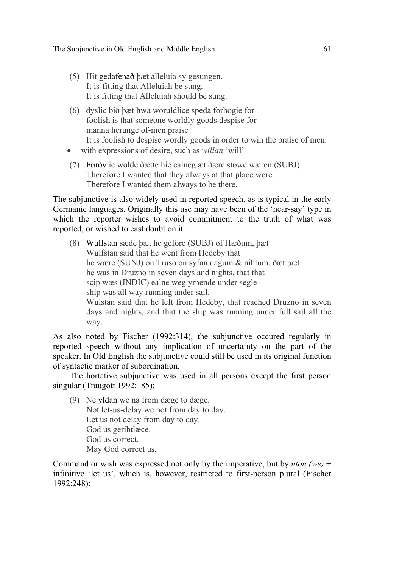- (5) Hit gedafenað þæt alleluia sy gesungen. It is-fitting that Alleluiah be sung. It is fitting that Alleluiah should be sung.
- (6) dyslic bið þæt hwa woruldlice speda forhogie for foolish is that someone worldly goods despise for manna herunge of-men praise It is foolish to despise wordly goods in order to win the praise of men.
- with expressions of desire, such as *willan* 'will'
- (7) Forðy ic wolde ðætte hie ealneg æt ðære stowe wæren (SUBJ). Therefore I wanted that they always at that place were. Therefore I wanted them always to be there.

The subjunctive is also widely used in reported speech, as is typical in the early Germanic languages. Originally this use may have been of the 'hear-say' type in which the reporter wishes to avoid commitment to the truth of what was reported, or wished to cast doubt on it:

(8) Wulfstan sæde þæt he gefore (SUBJ) of Hæðum, þæt Wulfstan said that he went from Hedeby that he wære (SUNJ) on Truso on syfan dagum & nihtum, ðæt þæt he was in Druzno in seven days and nights, that that scip wæs (INDIC) ealne weg yrnende under segle ship was all way running under sail. Wulstan said that he left from Hedeby, that reached Druzno in seven days and nights, and that the ship was running under full sail all the way.

As also noted by Fischer (1992:314), the subjunctive occured regularly in reported speech without any implication of uncertainty on the part of the speaker. In Old English the subjunctive could still be used in its original function of syntactic marker of subordination.

The hortative subjunctive was used in all persons except the first person singular (Traugott 1992:185):

(9) Ne yldan we na from dæge to dæge. Not let-us-delay we not from day to day. Let us not delay from day to day. God us gerihtlæce. God us correct. May God correct us.

Command or wish was expressed not only by the imperative, but by *uton (we)* + infinitive 'let us', which is, however, restricted to first-person plural (Fischer 1992:248):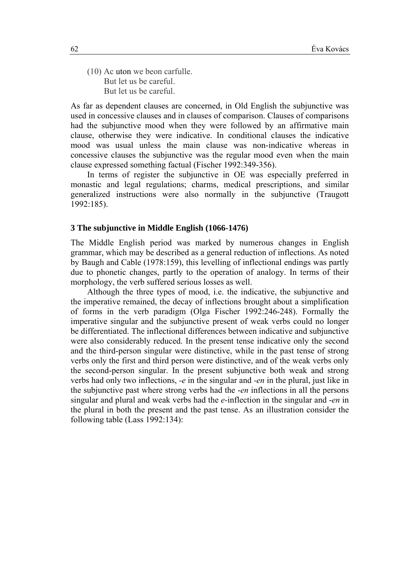(10) Ac uton we beon carfulle. But let us be careful. But let us be careful.

As far as dependent clauses are concerned, in Old English the subjunctive was used in concessive clauses and in clauses of comparison. Clauses of comparisons had the subjunctive mood when they were followed by an affirmative main clause, otherwise they were indicative. In conditional clauses the indicative mood was usual unless the main clause was non-indicative whereas in concessive clauses the subjunctive was the regular mood even when the main clause expressed something factual (Fischer 1992:349-356).

In terms of register the subjunctive in OE was especially preferred in monastic and legal regulations; charms, medical prescriptions, and similar generalized instructions were also normally in the subjunctive (Traugott 1992:185).

#### **3 The subjunctive in Middle English (1066-1476)**

The Middle English period was marked by numerous changes in English grammar, which may be described as a general reduction of inflections. As noted by Baugh and Cable (1978:159), this levelling of inflectional endings was partly due to phonetic changes, partly to the operation of analogy. In terms of their morphology, the verb suffered serious losses as well.

Although the three types of mood, i.e. the indicative, the subjunctive and the imperative remained, the decay of inflections brought about a simplification of forms in the verb paradigm (Olga Fischer 1992:246-248). Formally the imperative singular and the subjunctive present of weak verbs could no longer be differentiated. The inflectional differences between indicative and subjunctive were also considerably reduced. In the present tense indicative only the second and the third-person singular were distinctive, while in the past tense of strong verbs only the first and third person were distinctive, and of the weak verbs only the second-person singular. In the present subjunctive both weak and strong verbs had only two inflections, *-e* in the singular and *-en* in the plural, just like in the subjunctive past where strong verbs had the -*en* inflections in all the persons singular and plural and weak verbs had the *e-*inflection in the singular and -*en* in the plural in both the present and the past tense. As an illustration consider the following table (Lass 1992:134):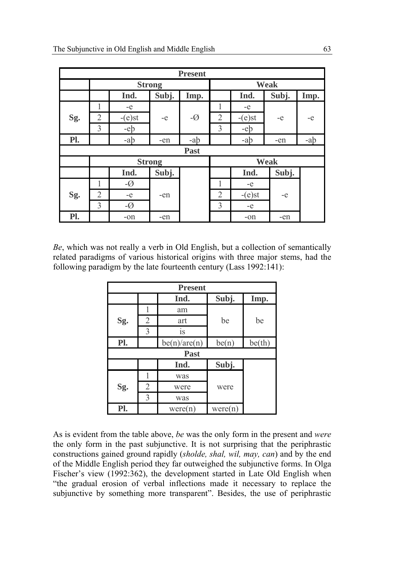| <b>Present</b> |                |                |       |                |                |           |       |      |
|----------------|----------------|----------------|-------|----------------|----------------|-----------|-------|------|
|                | <b>Strong</b>  |                |       | Weak           |                |           |       |      |
|                |                | Ind.           | Subj. | Imp.           |                | Ind.      | Subj. | Imp. |
|                | L              | $-e$           |       |                | 1              | $-e$      |       |      |
| Sg.            | $\overline{2}$ | $-(e)$ st      | $-e$  | $-\varnothing$ | $\overline{2}$ | $-(e)$ st | $-e$  | $-e$ |
|                | 3              | -eb            |       |                | 3              | -eb       |       |      |
| Pl.            |                | -ab            | -en   | -ab            |                | -ab       | -en   | -ab  |
| Past           |                |                |       |                |                |           |       |      |
|                | <b>Strong</b>  |                |       | Weak           |                |           |       |      |
|                |                | Ind.           | Subj. |                |                | Ind.      | Subj. |      |
|                | 1              | $-\varnothing$ |       |                | 1              | $-e$      |       |      |
| Sg.            | $\overline{2}$ | $-e$           | -en   |                | $\overline{2}$ | $-(e)$ st | $-e$  |      |
|                | 3              | $-\varnothing$ |       |                | 3              | $-e$      |       |      |
| Pl.            |                | -on            | -en   |                |                | $-on$     | -en   |      |

*Be*, which was not really a verb in Old English, but a collection of semantically related paradigms of various historical origins with three major stems, had the following paradigm by the late fourteenth century (Lass 1992:141):

| <b>Present</b> |   |              |         |        |  |  |  |
|----------------|---|--------------|---------|--------|--|--|--|
|                |   | Ind.         | Subj.   | Imp.   |  |  |  |
|                |   | am           |         |        |  |  |  |
| Sg.            | 2 | art          | be      | be     |  |  |  |
|                | 3 | is           |         |        |  |  |  |
| Pl.            |   | be(n)/are(n) | be(n)   | be(th) |  |  |  |
| Past           |   |              |         |        |  |  |  |
|                |   | Ind.         | Subj.   |        |  |  |  |
|                |   | was          |         |        |  |  |  |
| Sg.            | 2 | were         | were    |        |  |  |  |
|                | 3 | was          |         |        |  |  |  |
| Pl.            |   | were(n)      | were(n) |        |  |  |  |

As is evident from the table above, *be* was the only form in the present and *were* the only form in the past subjunctive. It is not surprising that the periphrastic constructions gained ground rapidly (*sholde, shal, wil, may, can*) and by the end of the Middle English period they far outweighed the subjunctive forms. In Olga Fischer's view (1992:362), the development started in Late Old English when "the gradual erosion of verbal inflections made it necessary to replace the subjunctive by something more transparent". Besides, the use of periphrastic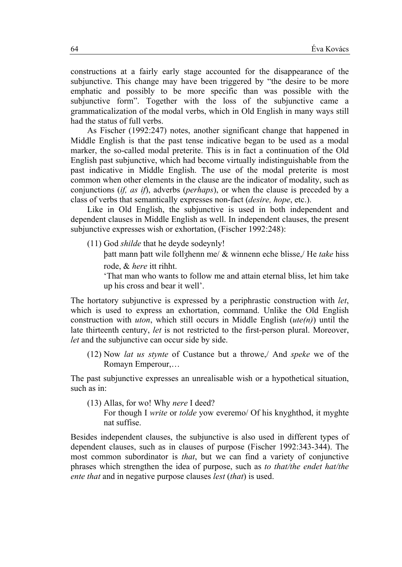constructions at a fairly early stage accounted for the disappearance of the subjunctive. This change may have been triggered by "the desire to be more emphatic and possibly to be more specific than was possible with the subjunctive form". Together with the loss of the subjunctive came a grammaticalization of the modal verbs, which in Old English in many ways still had the status of full verbs.

As Fischer (1992:247) notes, another significant change that happened in Middle English is that the past tense indicative began to be used as a modal marker, the so-called modal preterite. This is in fact a continuation of the Old English past subjunctive, which had become virtually indistinguishable from the past indicative in Middle English. The use of the modal preterite is most common when other elements in the clause are the indicator of modality, such as conjunctions *(if, as if)*, adverbs *(perhaps)*, or when the clause is preceded by a class of verbs that semantically expresses non-fact *(desire, hope, etc.)*.

Like in Old English, the subjunctive is used in both independent and dependent clauses in Middle English as well. In independent clauses, the present subjunctive expresses wish or exhortation, (Fischer 1992:248):

(11) God *shilde* that he devde sodevnly!

batt mann batt wile follzhenn me/ & winnenn eche blisse,/ He take hiss rode. & *here* itt rihht.

That man who wants to follow me and attain eternal bliss, let him take up his cross and bear it well'.

The hortatory subjunctive is expressed by a periphrastic construction with *let*, which is used to express an exhortation, command. Unlike the Old English construction with *uton*, which still occurs in Middle English  $(ute(n))$  until the late thirteenth century, let is not restricted to the first-person plural. Moreover, let and the subjunctive can occur side by side.

(12) Now *lat us stynte* of Custance but a throwe, And *speke* we of the Romayn Emperour,...

The past subjunctive expresses an unrealisable wish or a hypothetical situation, such as in:

 $(13)$  Allas, for wo! Why *nere* I deed?

For though I *write* or *tolde* yow everemo/ Of his knyghthod, it myghte nat suffise.

Besides independent clauses, the subjunctive is also used in different types of dependent clauses, such as in clauses of purpose (Fischer 1992:343-344). The most common subordinator is *that*, but we can find a variety of conjunctive phrases which strengthen the idea of purpose, such as to that/the endet hat/the *ente that* and in negative purpose clauses *lest* (*that*) is used.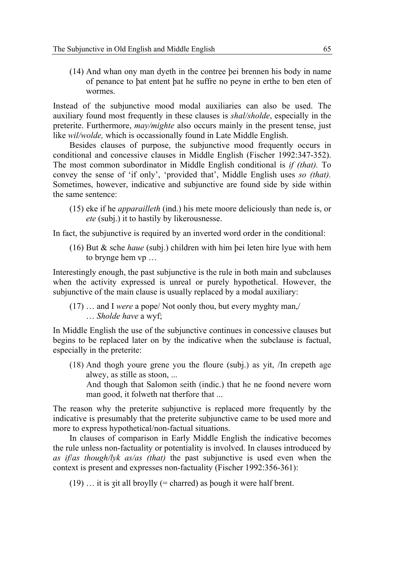(14) And whan ony man dyeth in the contree þei brennen his body in name of penance to þat entent þat he suffre no peyne in erthe to ben eten of wormes.

Instead of the subjunctive mood modal auxiliaries can also be used. The auxiliary found most frequently in these clauses is *shal/sholde*, especially in the preterite. Furthermore, *may/mighte* also occurs mainly in the present tense, just like *wil/wolde,* which is occassionally found in Late Middle English.

Besides clauses of purpose, the subjunctive mood frequently occurs in conditional and concessive clauses in Middle English (Fischer 1992:347-352). The most common subordinator in Middle English conditional is *if (that).* To convey the sense of 'if only', 'provided that', Middle English uses *so (that).* Sometimes, however, indicative and subjunctive are found side by side within the same sentence:

(15) eke if he *apparailleth* (ind.) his mete moore deliciously than nede is, or *ete* (subj.) it to hastily by likerousnesse.

In fact, the subjunctive is required by an inverted word order in the conditional:

(16) But & sche *haue* (subj.) children with him þei leten hire lyue with hem to brynge hem vp …

Interestingly enough, the past subjunctive is the rule in both main and subclauses when the activity expressed is unreal or purely hypothetical. However, the subjunctive of the main clause is usually replaced by a modal auxiliary:

(17) … and I *were* a pope/ Not oonly thou, but every myghty man,/ … *Sholde have* a wyf;

In Middle English the use of the subjunctive continues in concessive clauses but begins to be replaced later on by the indicative when the subclause is factual, especially in the preterite:

(18) And thogh youre grene you the floure (subj.) as yit, /In crepeth age alwey, as stille as stoon, ...

And though that Salomon seith (indic.) that he ne foond nevere worn man good, it folweth nat therfore that ...

The reason why the preterite subjunctive is replaced more frequently by the indicative is presumably that the preterite subjunctive came to be used more and more to express hypothetical/non-factual situations.

In clauses of comparison in Early Middle English the indicative becomes the rule unless non-factuality or potentiality is involved. In clauses introduced by *as if*/*as though/lyk as/as (that)* the past subjunctive is used even when the context is present and expresses non-factuality (Fischer 1992:356-361):

 $(19)$  ... it is zit all broylly (= charred) as bough it were half brent.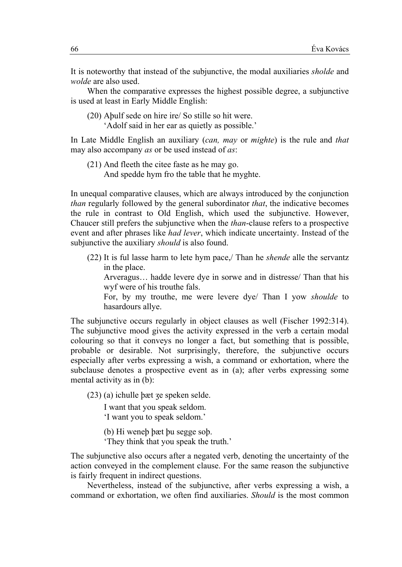It is noteworthy that instead of the subjunctive, the modal auxiliaries *sholde* and *wolde* are also used.

When the comparative expresses the highest possible degree, a subjunctive is used at least in Early Middle English:

(20) Abulf sede on hire ire/ So stille so hit were.

'Adolf said in her ear as quietly as possible.'

In Late Middle English an auxiliary (can, may or mighte) is the rule and that may also accompany as or be used instead of as:

 $(21)$  And fleeth the cite faste as he may go. And spedde hym fro the table that he myghte.

In unequal comparative clauses, which are always introduced by the conjunction *than* regularly followed by the general subordinator *that*, the indicative becomes the rule in contrast to Old English, which used the subjunctive. However, Chaucer still prefers the subjunctive when the *than*-clause refers to a prospective event and after phrases like *had lever*, which indicate uncertainty. Instead of the subjunctive the auxiliary *should* is also found.

(22) It is ful lasse harm to lete hym pace./ Than he *shende* alle the servantz in the place.

Arveragus... hadde levere dye in sorwe and in distresse/ Than that his wyf were of his trouthe fals.

For, by my trouthe, me were levere dye/ Than I yow *shoulde* to hasardours allye.

The subjunctive occurs regularly in object clauses as well (Fischer 1992:314). The subjunctive mood gives the activity expressed in the verb a certain modal colouring so that it conveys no longer a fact, but something that is possible, probable or desirable. Not surprisingly, therefore, the subjunctive occurs especially after verbs expressing a wish, a command or exhortation, where the subclause denotes a prospective event as in (a); after verbs expressing some mental activity as in (b):

 $(23)$  (a) ichulle bæt ze speken selde.

I want that you speak seldom.

'I want you to speak seldom.'

- (b) Hi weneb bæt bu segge sob.
- 'They think that you speak the truth.'

The subjunctive also occurs after a negated verb, denoting the uncertainty of the action conveyed in the complement clause. For the same reason the subjunctive is fairly frequent in indirect questions.

Nevertheless, instead of the subjunctive, after verbs expressing a wish, a command or exhortation, we often find auxiliaries. *Should* is the most common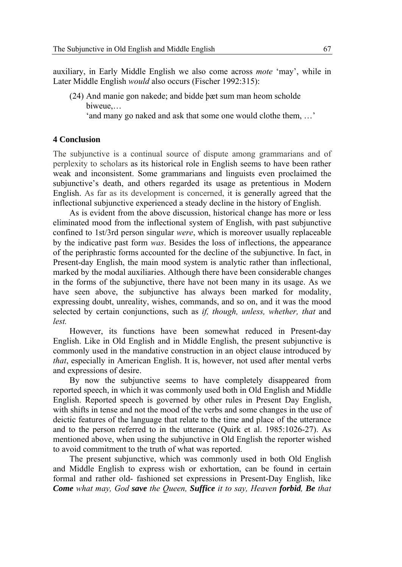auxiliary, in Early Middle English we also come across *mote* 'may', while in Later Middle English *would* also occurs (Fischer 1992:315):

(24) And manie gon nakede; and bidde þæt sum man heom scholde biweue,…

'and many go naked and ask that some one would clothe them, …'

#### **4 Conclusion**

The subjunctive is a continual source of dispute among grammarians and of perplexity to scholars as its historical role in English seems to have been rather weak and inconsistent. Some grammarians and linguists even proclaimed the subjunctive's death, and others regarded its usage as pretentious in Modern English. As far as its development is concerned, it is generally agreed that the inflectional subjunctive experienced a steady decline in the history of English.

As is evident from the above discussion, historical change has more or less eliminated mood from the inflectional system of English, with past subjunctive confined to 1st/3rd person singular *were*, which is moreover usually replaceable by the indicative past form *was*. Besides the loss of inflections, the appearance of the periphrastic forms accounted for the decline of the subjunctive. In fact, in Present-day English, the main mood system is analytic rather than inflectional, marked by the modal auxiliaries. Although there have been considerable changes in the forms of the subjunctive, there have not been many in its usage. As we have seen above, the subjunctive has always been marked for modality, expressing doubt, unreality, wishes, commands, and so on, and it was the mood selected by certain conjunctions, such as *if, though, unless, whether, that* and *lest.*

However, its functions have been somewhat reduced in Present-day English. Like in Old English and in Middle English, the present subjunctive is commonly used in the mandative construction in an object clause introduced by *that*, especially in American English. It is, however, not used after mental verbs and expressions of desire.

By now the subjunctive seems to have completely disappeared from reported speech, in which it was commonly used both in Old English and Middle English. Reported speech is governed by other rules in Present Day English, with shifts in tense and not the mood of the verbs and some changes in the use of deictic features of the language that relate to the time and place of the utterance and to the person referred to in the utterance (Quirk et al. 1985:1026-27). As mentioned above, when using the subjunctive in Old English the reporter wished to avoid commitment to the truth of what was reported.

The present subjunctive, which was commonly used in both Old English and Middle English to express wish or exhortation, can be found in certain formal and rather old- fashioned set expressions in Present-Day English, like *Come what may, God save the Queen, Suffice it to say, Heaven forbid, Be that*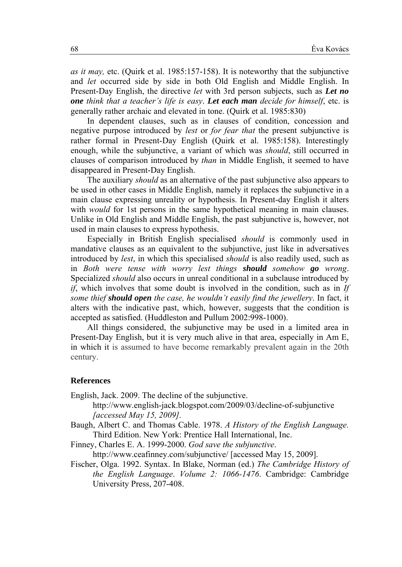*as it may,* etc. (Quirk et al. 1985:157-158). It is noteworthy that the subjunctive and *let* occurred side by side in both Old English and Middle English. In Present-Day English, the directive *let* with 3rd person subjects, such as *Let no one think that a teacher's life is easy*. *Let each man decide for himself*, etc. is generally rather archaic and elevated in tone. (Quirk et al. 1985:830)

In dependent clauses, such as in clauses of condition, concession and negative purpose introduced by *lest* or *for fear that* the present subjunctive is rather formal in Present-Day English (Quirk et al. 1985:158). Interestingly enough, while the subjunctive, a variant of which was *should*, still occurred in clauses of comparison introduced by *than* in Middle English, it seemed to have disappeared in Present-Day English.

The auxiliary *should* as an alternative of the past subjunctive also appears to be used in other cases in Middle English, namely it replaces the subjunctive in a main clause expressing unreality or hypothesis. In Present-day English it alters with *would* for 1st persons in the same hypothetical meaning in main clauses. Unlike in Old English and Middle English, the past subjunctive is, however, not used in main clauses to express hypothesis.

Especially in British English specialised *should* is commonly used in mandative clauses as an equivalent to the subjunctive, just like in adversatives introduced by *lest*, in which this specialised *should* is also readily used, such as in *Both were tense with worry lest things should somehow go wrong*. Specialized *should* also occurs in unreal conditional in a subclause introduced by *if*, which involves that some doubt is involved in the condition, such as in *If some thief should open the case, he wouldn't easily find the jewellery*. In fact, it alters with the indicative past, which, however, suggests that the condition is accepted as satisfied. (Huddleston and Pullum 2002:998-1000).

All things considered, the subjunctive may be used in a limited area in Present-Day English, but it is very much alive in that area, especially in Am E, in which it is assumed to have become remarkably prevalent again in the 20th century.

#### **References**

English, Jack. 2009. The decline of the subjunctive.

http://www.english-jack.blogspot.com/2009/03/decline-of-subjunctive *[accessed May 15, 2009].* 

Baugh, Albert C. and Thomas Cable. 1978. *A History of the English Language.* Third Edition. New York: Prentice Hall International, Inc.

Finney, Charles E. A. 1999-2000. *God save the subjunctive*.

http://www.ceafinney.com/subjunctive/ [accessed May 15, 2009].

Fischer, Olga. 1992. Syntax. In Blake, Norman (ed.) *The Cambridge History of the English Language*. *Volume 2: 1066-1476*. Cambridge: Cambridge University Press, 207-408.